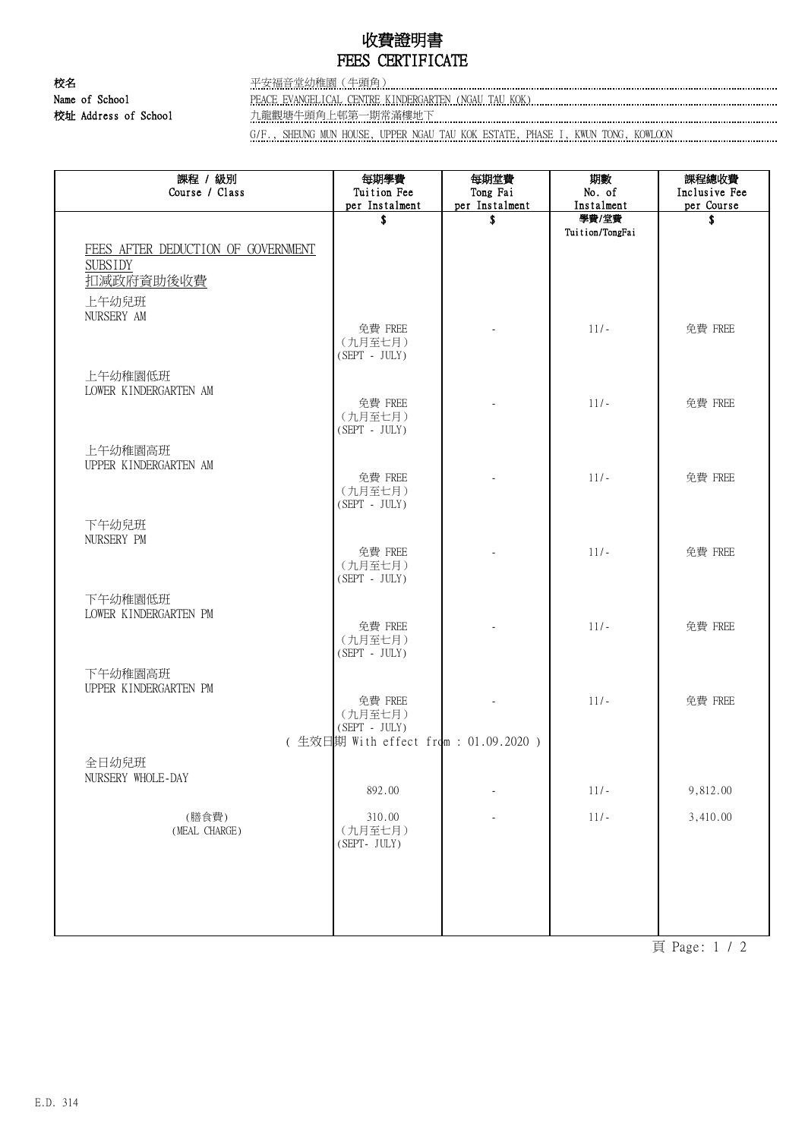## 收費證明書 FEES CERTIFICATE

校名 平安福音堂幼稚園(牛頭角) Name of School PEACE EVANGELICAL CENTRE KINDERGARTEN (NGAU TAU KOK) 校址 Address of School 九龍觀塘牛頭角上邨第一期常滿樓地下

G/F., SHEUNG MUN HOUSE, UPPER NGAU TAU KOK ESTATE, PHASE I, KWUN TONG, KOWLOON

| 課程 / 級別<br>Course / Class                                         | 每期學費<br>Tuition Fee                   | 每期堂費<br>Tong Fai | 期數<br>No. of             | 課程總收費<br>Inclusive Fee |
|-------------------------------------------------------------------|---------------------------------------|------------------|--------------------------|------------------------|
|                                                                   | per Instalment                        | per Instalment   | Instalment               | per Course             |
|                                                                   | \$                                    | \$               | 學費/堂費<br>Tuition/TongFai | \$                     |
| FEES AFTER DEDUCTION OF GOVERNMENT<br><b>SUBSIDY</b><br>扣减政府資助後收費 |                                       |                  |                          |                        |
| 上午幼兒班<br>NURSERY AM                                               |                                       |                  |                          |                        |
|                                                                   | 免費 FREE<br>(九月至七月)<br>$(SEPT - JULY)$ |                  | $11/-$                   | 免費 FREE                |
| 上午幼稚園低班<br>LOWER KINDERGARTEN AM                                  |                                       |                  |                          |                        |
|                                                                   | 免費 FREE<br>(九月至七月)<br>$(SEPT - JULY)$ |                  | $11/-$                   | 免費 FREE                |
| 上午幼稚園高班<br>UPPER KINDERGARTEN AM                                  | 免費 FREE                               |                  | $11/-$                   | 免費 FREE                |
|                                                                   | (九月至七月)<br>$(SEPT - JULY)$            |                  |                          |                        |
| 下午幼兒班<br>NURSERY PM                                               |                                       |                  |                          |                        |
|                                                                   | 免費 FREE<br>(九月至七月)<br>(SEPT - JULY)   |                  | $11/-$                   | 免費 FREE                |
| 下午幼稚園低班<br>LOWER KINDERGARTEN PM                                  | 免費 FREE                               |                  | $11/-$                   | 免費 FREE                |
|                                                                   | (九月至七月)<br>$(SEPT - JULY)$            |                  |                          |                        |
| 下午幼稚園高班<br>UPPER KINDERGARTEN PM                                  | 免費 FREE                               |                  | $11/-$                   | 免費 FREE                |
|                                                                   | (九月至七月)<br>$(SEPT - JULY)$            |                  |                          |                        |
|                                                                   | (生效日期 With effect from: 01.09.2020)   |                  |                          |                        |
| 全日幼兒班                                                             |                                       |                  |                          |                        |
| NURSERY WHOLE-DAY                                                 | 892.00                                |                  | $11/-$                   | 9,812.00               |
| (膳食費)<br>(MEAL CHARGE)                                            | 310.00<br>(九月至七月)<br>(SEPT- JULY)     |                  | $11/-$                   | 3,410.00               |
|                                                                   |                                       |                  |                          |                        |
|                                                                   |                                       |                  |                          |                        |

頁 Page: 1 / 2